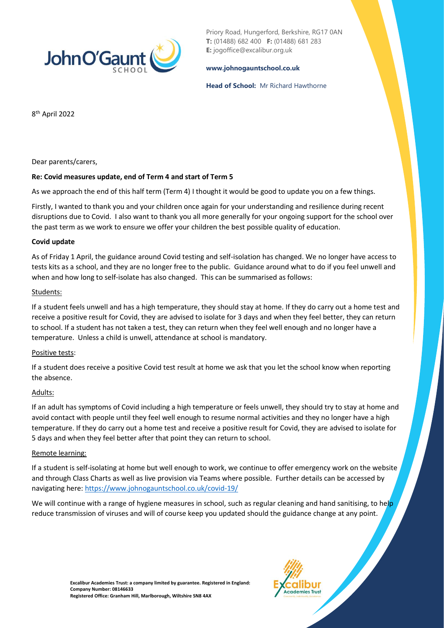

Priory Road, Hungerford, Berkshire, RG17 0AN **T:** (01488) 682 400 **F:** (01488) 681 283 **E:** jogoffice@excalibur.org.uk

#### **[www.johnogauntschool.co.uk](http://www.johnogauntschool.co.uk/)**

#### **Head of School:** Mr Richard Hawthorne

8 th April 2022

Dear parents/carers,

# **Re: Covid measures update, end of Term 4 and start of Term 5**

As we approach the end of this half term (Term 4) I thought it would be good to update you on a few things.

Firstly, I wanted to thank you and your children once again for your understanding and resilience during recent disruptions due to Covid. I also want to thank you all more generally for your ongoing support for the school over the past term as we work to ensure we offer your children the best possible quality of education.

# **Covid update**

As of Friday 1 April, the guidance around Covid testing and self-isolation has changed. We no longer have access to tests kits as a school, and they are no longer free to the public. Guidance around what to do if you feel unwell and when and how long to self-isolate has also changed. This can be summarised as follows:

# Students:

If a student feels unwell and has a high temperature, they should stay at home. If they do carry out a home test and receive a positive result for Covid, they are advised to isolate for 3 days and when they feel better, they can return to school. If a student has not taken a test, they can return when they feel well enough and no longer have a temperature. Unless a child is unwell, attendance at school is mandatory.

# Positive tests:

If a student does receive a positive Covid test result at home we ask that you let the school know when reporting the absence.

# Adults:

If an adult has symptoms of Covid including a high temperature or feels unwell, they should try to stay at home and avoid contact with people until they feel well enough to resume normal activities and they no longer have a high temperature. If they do carry out a home test and receive a positive result for Covid, they are advised to isolate for 5 days and when they feel better after that point they can return to school.

#### Remote learning:

If a student is self-isolating at home but well enough to work, we continue to offer emergency work on the website and through Class Charts as well as live provision via Teams where possible. Further details can be accessed by navigating here:<https://www.johnogauntschool.co.uk/covid-19/>

We will continue with a range of hygiene measures in school, such as regular cleaning and hand sanitising, to help reduce transmission of viruses and will of course keep you updated should the guidance change at any point.

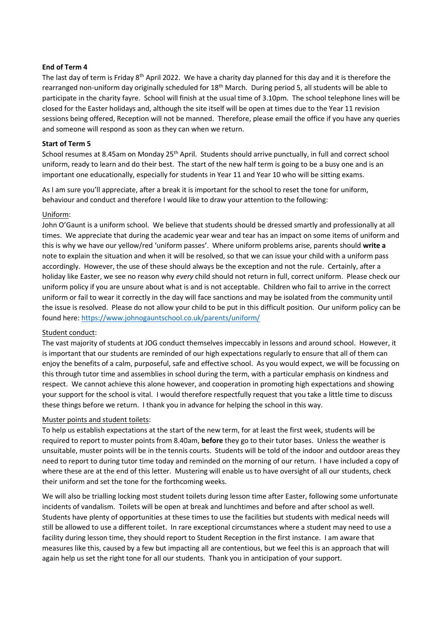### **End of Term 4**

The last day of term is Friday 8<sup>th</sup> April 2022. We have a charity day planned for this day and it is therefore the rearranged non-uniform day originally scheduled for 18<sup>th</sup> March. During period 5, all students will be able to participate in the charity fayre. School will finish at the usual time of 3.10pm. The school telephone lines will be closed for the Easter holidays and, although the site itself will be open at times due to the Year 11 revision sessions being offered, Reception will not be manned. Therefore, please email the office if you have any queries and someone will respond as soon as they can when we return.

### **Start of Term 5**

School resumes at 8.45am on Monday 25<sup>th</sup> April. Students should arrive punctually, in full and correct school uniform, ready to learn and do their best. The start of the new half term is going to be a busy one and is an important one educationally, especially for students in Year 11 and Year 10 who will be sitting exams.

As I am sure you'll appreciate, after a break it is important for the school to reset the tone for uniform, behaviour and conduct and therefore I would like to draw your attention to the following:

### Uniform:

John O'Gaunt is a uniform school. We believe that students should be dressed smartly and professionally at all times. We appreciate that during the academic year wear and tear has an impact on some items of uniform and this is why we have our yellow/red 'uniform passes'. Where uniform problems arise, parents should **write a**  note to explain the situation and when it will be resolved, so that we can issue your child with a uniform pass accordingly. However, the use of these should always be the exception and not the rule. Certainly, after a holiday like Easter, we see no reason why *every* child should not return in full, correct uniform. Please check our uniform policy if you are unsure about what is and is not acceptable. Children who fail to arrive in the correct uniform or fail to wear it correctly in the day will face sanctions and may be isolated from the community until the issue is resolved. Please do not allow your child to be put in this difficult position. Our uniform policy can be found here:<https://www.johnogauntschool.co.uk/parents/uniform/>

#### Student conduct:

The vast majority of students at JOG conduct themselves impeccably in lessons and around school. However, it is important that our students are reminded of our high expectations regularly to ensure that all of them can enjoy the benefits of a calm, purposeful, safe and effective school. As you would expect, we will be focussing on this through tutor time and assemblies in school during the term, with a particular emphasis on kindness and respect. We cannot achieve this alone however, and cooperation in promoting high expectations and showing your support for the school is vital. I would therefore respectfully request that you take a little time to discuss these things before we return. I thank you in advance for helping the school in this way.

### Muster points and student toilets:

To help us establish expectations at the start of the new term, for at least the first week, students will be required to report to muster points from 8.40am, **before** they go to their tutor bases. Unless the weather is unsuitable, muster points will be in the tennis courts. Students will be told of the indoor and outdoor areas they need to report to during tutor time today and reminded on the morning of our return. I have included a copy of where these are at the end of this letter. Mustering will enable us to have oversight of all our students, check their uniform and set the tone for the forthcoming weeks.

We will also be trialling locking most student toilets during lesson time after Easter, following some unfortunate incidents of vandalism. Toilets will be open at break and lunchtimes and before and after school as well. Students have plenty of opportunities at these times to use the facilities but students with medical needs will still be allowed to use a different toilet. In rare exceptional circumstances where a student may need to use a facility during lesson time, they should report to Student Reception in the first instance. I am aware that measures like this, caused by a few but impacting all are contentious, but we feel this is an approach that will again help us set the right tone for all our students. Thank you in anticipation of your support.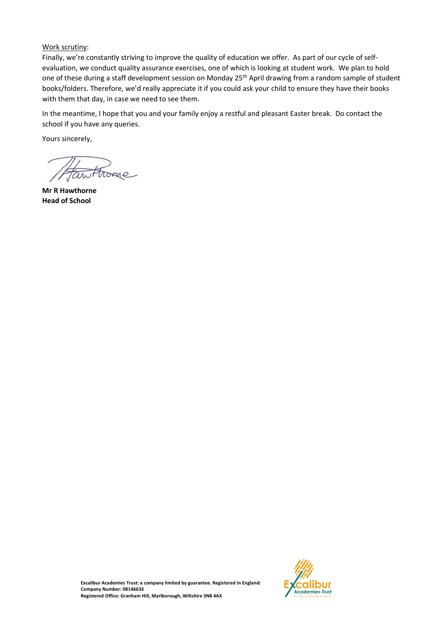# Work scrutiny:

Finally, we're constantly striving to improve the quality of education we offer. As part of our cycle of selfevaluation, we conduct quality assurance exercises, one of which is looking at student work. We plan to hold one of these during a staff development session on Monday 25<sup>th</sup> April drawing from a random sample of student books/folders. Therefore, we'd really appreciate it if you could ask your child to ensure they have their books with them that day, in case we need to see them.

In the meantime, I hope that you and your family enjoy a restful and pleasant Easter break. Do contact the school if you have any queries.

Yours sincerely,

**Mr R Hawthorne Head of School**